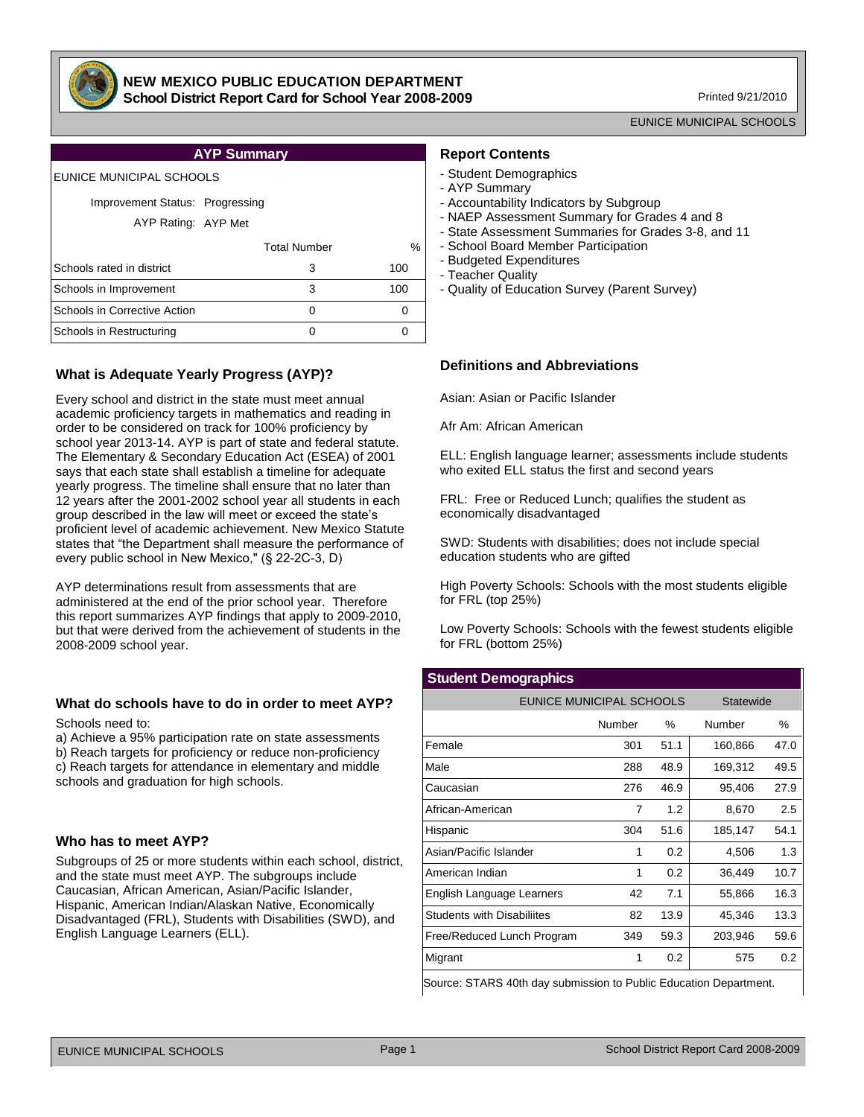

#### **NEW MEXICO PUBLIC EDUCATION DEPARTMENT School District Report Card for School Year 2008-2009**

Printed 9/21/2010

EUNICE MUNICIPAL SCHOOLS

## **AYP Summary**

#### EUNICE MUNICIPAL SCHOOLS

#### Improvement Status: Progressing

AYP Rating: AYP Met

|                              | <b>Total Number</b> | %   |
|------------------------------|---------------------|-----|
| Schools rated in district    | 3                   | 100 |
| Schools in Improvement       | з                   | 100 |
| Schools in Corrective Action |                     |     |
| Schools in Restructuring     |                     |     |
|                              |                     |     |

## **What is Adequate Yearly Progress (AYP)?**

Every school and district in the state must meet annual academic proficiency targets in mathematics and reading in order to be considered on track for 100% proficiency by school year 2013-14. AYP is part of state and federal statute. The Elementary & Secondary Education Act (ESEA) of 2001 says that each state shall establish a timeline for adequate yearly progress. The timeline shall ensure that no later than 12 years after the 2001-2002 school year all students in each group described in the law will meet or exceed the state's proficient level of academic achievement. New Mexico Statute states that "the Department shall measure the performance of every public school in New Mexico," (§ 22-2C-3, D)

AYP determinations result from assessments that are administered at the end of the prior school year. Therefore this report summarizes AYP findings that apply to 2009-2010, but that were derived from the achievement of students in the 2008-2009 school year.

## **What do schools have to do in order to meet AYP?**

Schools need to:

a) Achieve a 95% participation rate on state assessments b) Reach targets for proficiency or reduce non-proficiency c) Reach targets for attendance in elementary and middle schools and graduation for high schools.

## **Who has to meet AYP?**

Subgroups of 25 or more students within each school, district, and the state must meet AYP. The subgroups include Caucasian, African American, Asian/Pacific Islander, Hispanic, American Indian/Alaskan Native, Economically Disadvantaged (FRL), Students with Disabilities (SWD), and English Language Learners (ELL).

#### **Report Contents**

- Student Demographics
- AYP Summary
- Accountability Indicators by Subgroup
- NAEP Assessment Summary for Grades 4 and 8
- State Assessment Summaries for Grades 3-8, and 11
- School Board Member Participation
- Budgeted Expenditures
- Teacher Quality
- Quality of Education Survey (Parent Survey)

## **Definitions and Abbreviations**

Asian: Asian or Pacific Islander

Afr Am: African American

ELL: English language learner; assessments include students who exited ELL status the first and second years

FRL: Free or Reduced Lunch; qualifies the student as economically disadvantaged

SWD: Students with disabilities; does not include special education students who are gifted

High Poverty Schools: Schools with the most students eligible for FRL (top 25%)

Low Poverty Schools: Schools with the fewest students eligible for FRL (bottom 25%)

#### **Student Demographics**

| EUNICE MUNICIPAL SCHOOLS          |        |      | Statewide |      |
|-----------------------------------|--------|------|-----------|------|
|                                   | Number | $\%$ | Number    | $\%$ |
| Female                            | 301    | 51.1 | 160,866   | 47.0 |
| Male                              | 288    | 48.9 | 169,312   | 49.5 |
| Caucasian                         | 276    | 46.9 | 95,406    | 27.9 |
| African-American                  | 7      | 1.2  | 8,670     | 2.5  |
| Hispanic                          | 304    | 51.6 | 185,147   | 54.1 |
| Asian/Pacific Islander            | 1      | 0.2  | 4,506     | 1.3  |
| American Indian                   | 1      | 0.2  | 36,449    | 10.7 |
| English Language Learners         | 42     | 7.1  | 55,866    | 16.3 |
| <b>Students with Disabiliites</b> | 82     | 13.9 | 45,346    | 13.3 |
| Free/Reduced Lunch Program        | 349    | 59.3 | 203,946   | 59.6 |
| Migrant                           | 1      | 0.2  | 575       | 0.2  |

Source: STARS 40th day submission to Public Education Department.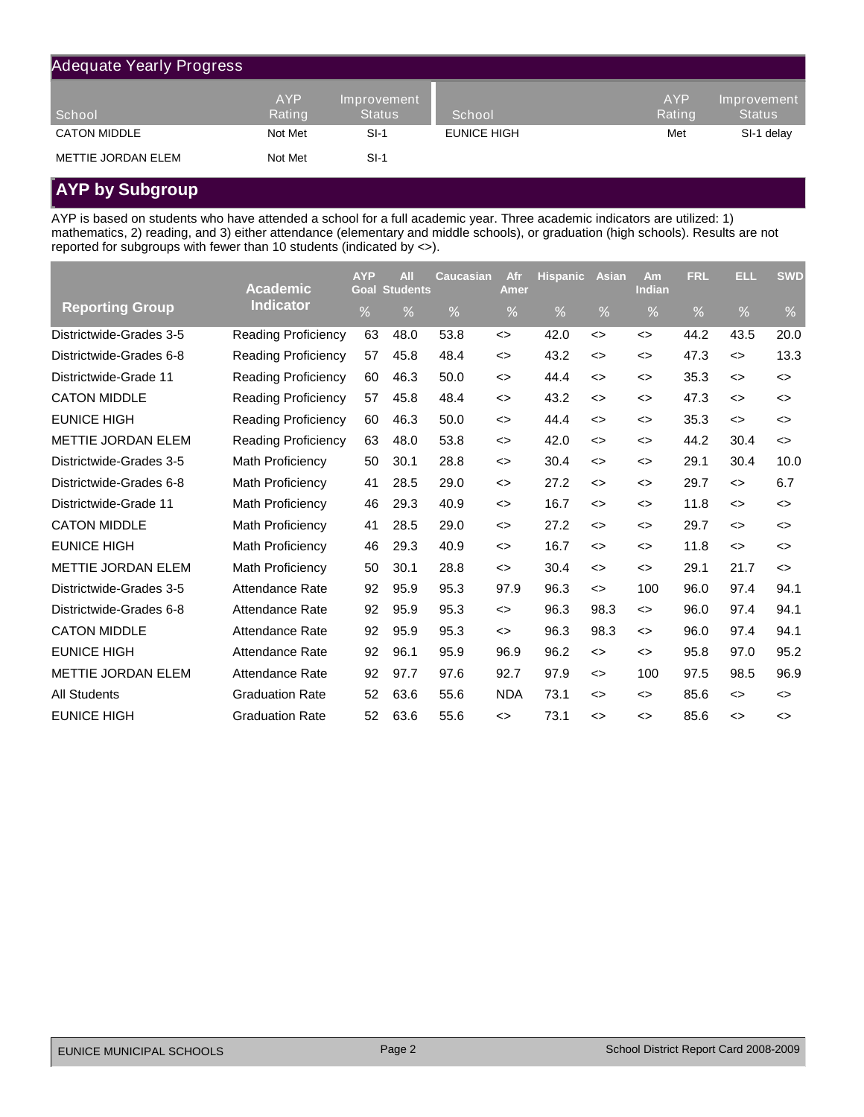| <b>Adequate Yearly Progress</b> |                      |                              |             |                      |                              |
|---------------------------------|----------------------|------------------------------|-------------|----------------------|------------------------------|
| School                          | <b>AYP</b><br>Rating | Improvement<br><b>Status</b> | School      | <b>AYP</b><br>Rating | Improvement<br><b>Status</b> |
| <b>CATON MIDDLE</b>             | Not Met              | $SI-1$                       | EUNICE HIGH | Met                  | SI-1 delay                   |
| METTIE JORDAN ELEM              | Not Met              | $SI-1$                       |             |                      |                              |

# **AYP by Subgroup**

AYP is based on students who have attended a school for a full academic year. Three academic indicators are utilized: 1) mathematics, 2) reading, and 3) either attendance (elementary and middle schools), or graduation (high schools). Results are not reported for subgroups with fewer than 10 students (indicated by <>).

|                           | <b>Academic</b>            | <b>AYP</b><br>Goal | <b>All</b><br><b>Students</b> | <b>Caucasian</b> | Afr<br>Amer       | <b>Hispanic</b> | <b>Asian</b>                 | Am<br>Indian      | <b>FRL</b> | ELL                          | <b>SWD</b>                   |
|---------------------------|----------------------------|--------------------|-------------------------------|------------------|-------------------|-----------------|------------------------------|-------------------|------------|------------------------------|------------------------------|
| <b>Reporting Group</b>    | <b>Indicator</b>           | %                  | %                             | %                | %                 | %               | %                            | %                 | %          | %                            | %                            |
| Districtwide-Grades 3-5   | <b>Reading Proficiency</b> | 63                 | 48.0                          | 53.8             | $\leftrightarrow$ | 42.0            | $\leftrightarrow$            | $\leftrightarrow$ | 44.2       | 43.5                         | 20.0                         |
| Districtwide-Grades 6-8   | <b>Reading Proficiency</b> | 57                 | 45.8                          | 48.4             | $\leftrightarrow$ | 43.2            | $\leftrightarrow$            | $\leftrightarrow$ | 47.3       | $\leftrightarrow$            | 13.3                         |
| Districtwide-Grade 11     | <b>Reading Proficiency</b> | 60                 | 46.3                          | 50.0             | <>                | 44.4            | $\left\langle \right\rangle$ | <>                | 35.3       | $\left\langle \right\rangle$ | $\left\langle \right\rangle$ |
| <b>CATON MIDDLE</b>       | <b>Reading Proficiency</b> | 57                 | 45.8                          | 48.4             | $\leftrightarrow$ | 43.2            | $\leftrightarrow$            | $\leftrightarrow$ | 47.3       | $\leftrightarrow$            | <>                           |
| <b>EUNICE HIGH</b>        | Reading Proficiency        | 60                 | 46.3                          | 50.0             | $\leftrightarrow$ | 44.4            | $\leftrightarrow$            | $\leftrightarrow$ | 35.3       | $\leftrightarrow$            | $\leftrightarrow$            |
| <b>METTIE JORDAN ELEM</b> | <b>Reading Proficiency</b> | 63                 | 48.0                          | 53.8             | <>                | 42.0            | $\left\langle \right\rangle$ | <>                | 44.2       | 30.4                         | $\left\langle \right\rangle$ |
| Districtwide-Grades 3-5   | <b>Math Proficiency</b>    | 50                 | 30.1                          | 28.8             | $\leftrightarrow$ | 30.4            | $\leftrightarrow$            | $\leftrightarrow$ | 29.1       | 30.4                         | 10.0                         |
| Districtwide-Grades 6-8   | <b>Math Proficiency</b>    | 41                 | 28.5                          | 29.0             | $\leftrightarrow$ | 27.2            | $\leftrightarrow$            | $\leftrightarrow$ | 29.7       | $\leftrightarrow$            | 6.7                          |
| Districtwide-Grade 11     | <b>Math Proficiency</b>    | 46                 | 29.3                          | 40.9             | <>                | 16.7            | $\leftrightarrow$            | <>                | 11.8       | $\leftrightarrow$            | <>                           |
| <b>CATON MIDDLE</b>       | <b>Math Proficiency</b>    | 41                 | 28.5                          | 29.0             | $\leftrightarrow$ | 27.2            | $\left\langle \right\rangle$ | $\leftrightarrow$ | 29.7       | $\leftrightarrow$            | <>                           |
| <b>EUNICE HIGH</b>        | <b>Math Proficiency</b>    | 46                 | 29.3                          | 40.9             | $\leftrightarrow$ | 16.7            | $\leftrightarrow$            | $\leftrightarrow$ | 11.8       | $\leftrightarrow$            | $\left\langle \right\rangle$ |
| <b>METTIE JORDAN ELEM</b> | <b>Math Proficiency</b>    | 50                 | 30.1                          | 28.8             | <>                | 30.4            | $\leftrightarrow$            | $\leftrightarrow$ | 29.1       | 21.7                         | $\leftrightarrow$            |
| Districtwide-Grades 3-5   | Attendance Rate            | 92                 | 95.9                          | 95.3             | 97.9              | 96.3            | $\leftrightarrow$            | 100               | 96.0       | 97.4                         | 94.1                         |
| Districtwide-Grades 6-8   | Attendance Rate            | 92                 | 95.9                          | 95.3             | $\leftrightarrow$ | 96.3            | 98.3                         | $\leftrightarrow$ | 96.0       | 97.4                         | 94.1                         |
| <b>CATON MIDDLE</b>       | Attendance Rate            | 92                 | 95.9                          | 95.3             | <>                | 96.3            | 98.3                         | <>                | 96.0       | 97.4                         | 94.1                         |
| <b>EUNICE HIGH</b>        | Attendance Rate            | 92                 | 96.1                          | 95.9             | 96.9              | 96.2            | $\leftrightarrow$            | $\leftrightarrow$ | 95.8       | 97.0                         | 95.2                         |
| <b>METTIE JORDAN ELEM</b> | Attendance Rate            | 92                 | 97.7                          | 97.6             | 92.7              | 97.9            | $\leftrightarrow$            | 100               | 97.5       | 98.5                         | 96.9                         |
| <b>All Students</b>       | <b>Graduation Rate</b>     | 52                 | 63.6                          | 55.6             | <b>NDA</b>        | 73.1            | $\leftrightarrow$            | <>                | 85.6       | $\leftrightarrow$            | <>                           |
| <b>EUNICE HIGH</b>        | <b>Graduation Rate</b>     | 52                 | 63.6                          | 55.6             | $\leftrightarrow$ | 73.1            | $\leftrightarrow$            | $\leftrightarrow$ | 85.6       | $\leftrightarrow$            | <>                           |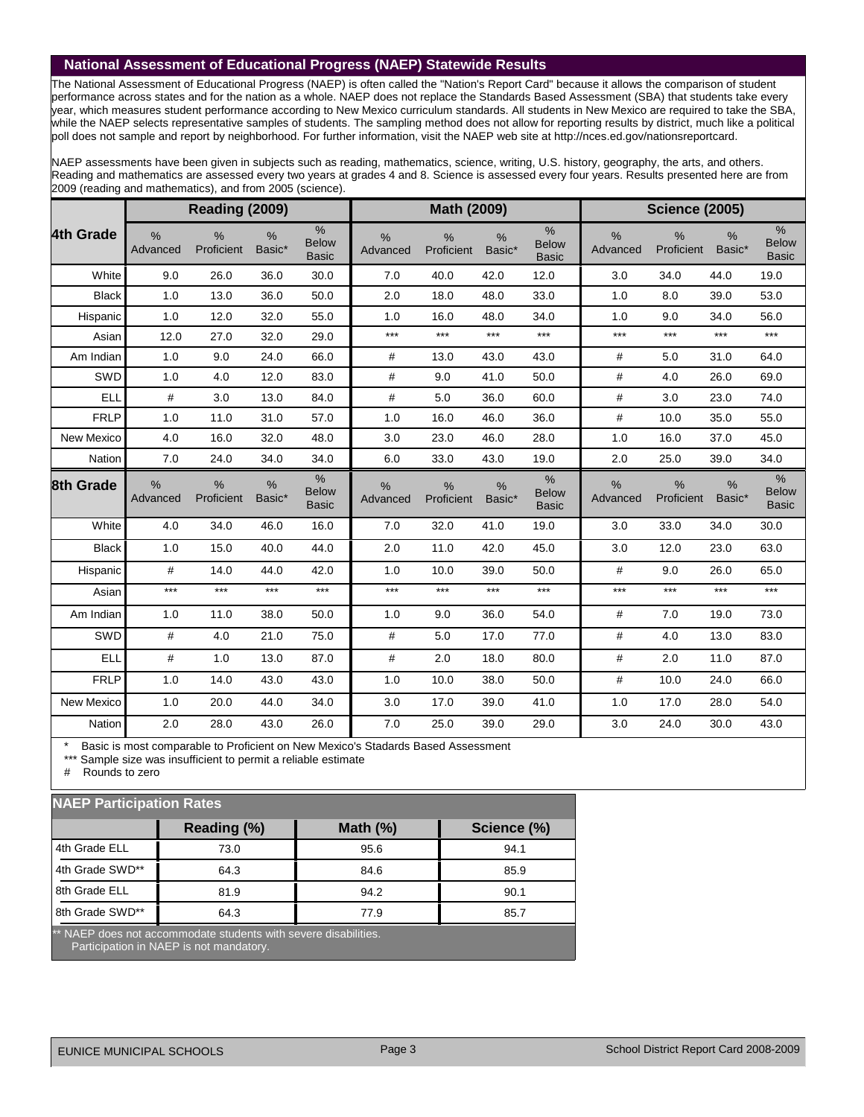## **National Assessment of Educational Progress (NAEP) Statewide Results**

The National Assessment of Educational Progress (NAEP) is often called the "Nation's Report Card" because it allows the comparison of student performance across states and for the nation as a whole. NAEP does not replace the Standards Based Assessment (SBA) that students take every year, which measures student performance according to New Mexico curriculum standards. All students in New Mexico are required to take the SBA, while the NAEP selects representative samples of students. The sampling method does not allow for reporting results by district, much like a political poll does not sample and report by neighborhood. For further information, visit the NAEP web site at http://nces.ed.gov/nationsreportcard.

NAEP assessments have been given in subjects such as reading, mathematics, science, writing, U.S. history, geography, the arts, and others. Reading and mathematics are assessed every two years at grades 4 and 8. Science is assessed every four years. Results presented here are from 2009 (reading and mathematics), and from 2005 (science).

|              |                  | Reading (2009)              |                |                                      |                           | Math (2009)        |                |                                      |                           | <b>Science (2005)</b>       |                         |                                               |
|--------------|------------------|-----------------------------|----------------|--------------------------------------|---------------------------|--------------------|----------------|--------------------------------------|---------------------------|-----------------------------|-------------------------|-----------------------------------------------|
| 4th Grade    | $\%$<br>Advanced | $\frac{0}{0}$<br>Proficient | $\%$<br>Basic* | $\%$<br><b>Below</b><br><b>Basic</b> | %<br>Advanced             | %<br>Proficient    | %<br>Basic*    | $\%$<br><b>Below</b><br><b>Basic</b> | $\frac{9}{6}$<br>Advanced | $\frac{0}{0}$<br>Proficient | %<br>Basic*             | $\frac{0}{0}$<br><b>Below</b><br><b>Basic</b> |
| White        | 9.0              | 26.0                        | 36.0           | 30.0                                 | 7.0                       | 40.0               | 42.0           | 12.0                                 | 3.0                       | 34.0                        | 44.0                    | 19.0                                          |
| <b>Black</b> | 1.0              | 13.0                        | 36.0           | 50.0                                 | 2.0                       | 18.0               | 48.0           | 33.0                                 | 1.0                       | 8.0                         | 39.0                    | 53.0                                          |
| Hispanic     | 1.0              | 12.0                        | 32.0           | 55.0                                 | 1.0                       | 16.0               | 48.0           | 34.0                                 | 1.0                       | 9.0                         | 34.0                    | 56.0                                          |
| Asian        | 12.0             | 27.0                        | 32.0           | 29.0                                 | $***$                     | $***$              | $***$          | $***$                                | $***$                     | $***$                       | $***$                   | $***$                                         |
| Am Indian    | 1.0              | 9.0                         | 24.0           | 66.0                                 | #                         | 13.0               | 43.0           | 43.0                                 | $\#$                      | 5.0                         | 31.0                    | 64.0                                          |
| SWD          | 1.0              | 4.0                         | 12.0           | 83.0                                 | #                         | 9.0                | 41.0           | 50.0                                 | #                         | 4.0                         | 26.0                    | 69.0                                          |
| ELL          | #                | 3.0                         | 13.0           | 84.0                                 | #                         | 5.0                | 36.0           | 60.0                                 | #                         | 3.0                         | 23.0                    | 74.0                                          |
| <b>FRLP</b>  | 1.0              | 11.0                        | 31.0           | 57.0                                 | 1.0                       | 16.0               | 46.0           | 36.0                                 | #                         | 10.0                        | 35.0                    | 55.0                                          |
| New Mexico   | 4.0              | 16.0                        | 32.0           | 48.0                                 | 3.0                       | 23.0               | 46.0           | 28.0                                 | 1.0                       | 16.0                        | 37.0                    | 45.0                                          |
| Nation       | 7.0              | 24.0                        | 34.0           | 34.0                                 | 6.0                       | 33.0               | 43.0           | 19.0                                 | 2.0                       | 25.0                        | 39.0                    | 34.0                                          |
| 8th Grade    | $\%$<br>Advanced | $\frac{0}{0}$<br>Proficient | $\%$<br>Basic* | %<br><b>Below</b><br><b>Basic</b>    | $\frac{0}{0}$<br>Advanced | $\%$<br>Proficient | $\%$<br>Basic* | $\%$<br><b>Below</b><br><b>Basic</b> | $\frac{9}{6}$<br>Advanced | $\frac{0}{0}$<br>Proficient | $\frac{9}{6}$<br>Basic* | $\%$<br><b>Below</b><br><b>Basic</b>          |
| White        | 4.0              | 34.0                        |                |                                      |                           |                    |                |                                      |                           |                             |                         |                                               |
| <b>Black</b> |                  |                             | 46.0           | 16.0                                 | 7.0                       | 32.0               | 41.0           | 19.0                                 | 3.0                       | 33.0                        | 34.0                    | 30.0                                          |
|              | 1.0              | 15.0                        | 40.0           | 44.0                                 | 2.0                       | 11.0               | 42.0           | 45.0                                 | 3.0                       | 12.0                        | 23.0                    | 63.0                                          |
| Hispanic     | #                | 14.0                        | 44.0           | 42.0                                 | 1.0                       | 10.0               | 39.0           | 50.0                                 | #                         | 9.0                         | 26.0                    | 65.0                                          |
| Asian        | $***$            | $***$                       | $***$          | $***$                                | $***$                     | $***$              | $***$          | $***$                                | $***$                     | $***$                       | $***$                   | $***$                                         |
| Am Indian    | 1.0              | 11.0                        | 38.0           | 50.0                                 | 1.0                       | 9.0                | 36.0           | 54.0                                 | #                         | 7.0                         | 19.0                    | 73.0                                          |
| SWD          | #                | 4.0                         | 21.0           | 75.0                                 | #                         | 5.0                | 17.0           | 77.0                                 | #                         | 4.0                         | 13.0                    | 83.0                                          |
| ELL          | #                | 1.0                         | 13.0           | 87.0                                 | #                         | 2.0                | 18.0           | 80.0                                 | #                         | 2.0                         | 11.0                    | 87.0                                          |
| <b>FRLP</b>  | 1.0              | 14.0                        | 43.0           | 43.0                                 | 1.0                       | 10.0               | 38.0           | 50.0                                 | $\#$                      | 10.0                        | 24.0                    | 66.0                                          |
| New Mexico   | 1.0              | 20.0                        | 44.0           | 34.0                                 | 3.0                       | 17.0               | 39.0           | 41.0                                 | 1.0                       | 17.0                        | 28.0                    | 54.0                                          |

Basic is most comparable to Proficient on New Mexico's Stadards Based Assessment

\*\*\* Sample size was insufficient to permit a reliable estimate

# Rounds to zero

#### **NAEP Participation Rates**

| الماليات والمالي المالي والمالي والمالي والمواليات المالي والمتوازن والمستحل الماليات |                                                                                                            |             |             |
|---------------------------------------------------------------------------------------|------------------------------------------------------------------------------------------------------------|-------------|-------------|
|                                                                                       | Reading (%)                                                                                                | Math $(\%)$ | Science (%) |
| 4th Grade ELL                                                                         | 73.0                                                                                                       | 95.6        | 94.1        |
| 4th Grade SWD**                                                                       | 64.3                                                                                                       | 84.6        | 85.9        |
| 8th Grade ELL                                                                         | 81.9                                                                                                       | 94.2        | 90.1        |
| 8th Grade SWD**                                                                       | 64.3                                                                                                       | 77.9        | 85.7        |
|                                                                                       | ** NAEP does not accommodate students with severe disabilities.<br>Participation in NAEP is not mandatory. |             |             |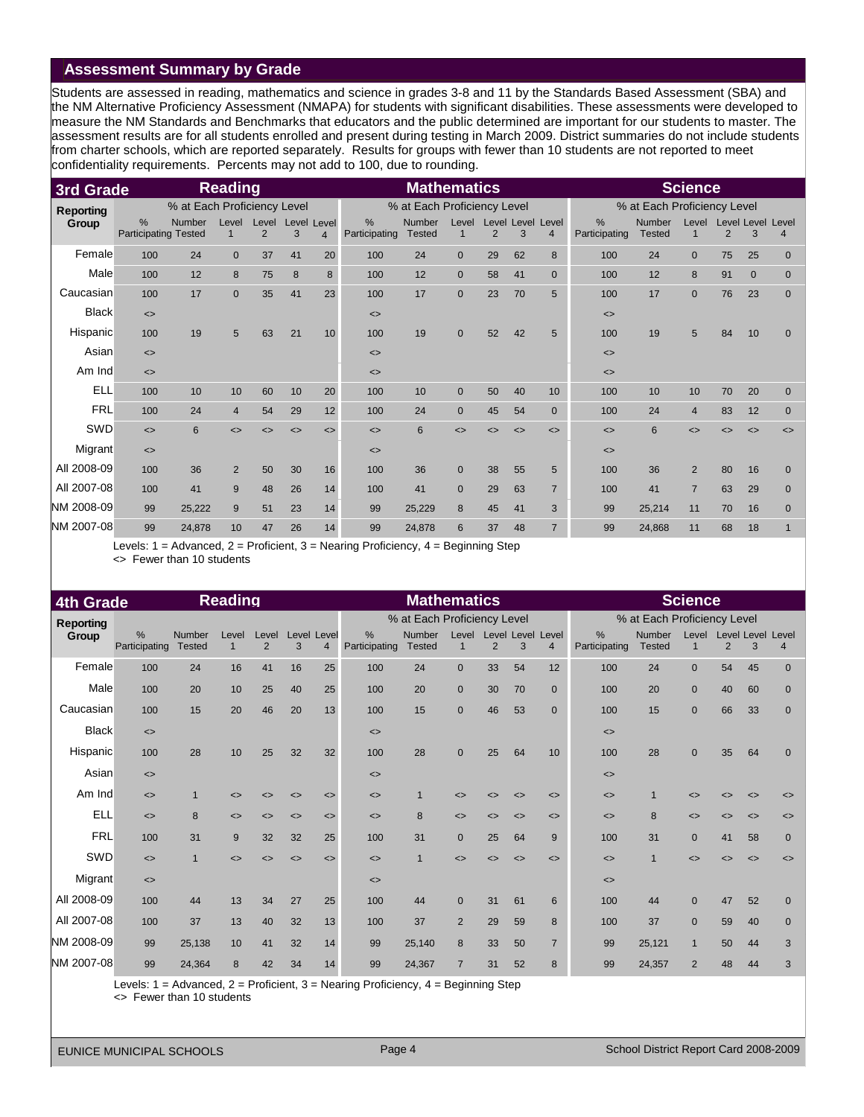## **Assessment Summary by Grade**

Students are assessed in reading, mathematics and science in grades 3-8 and 11 by the Standards Based Assessment (SBA) and the NM Alternative Proficiency Assessment (NMAPA) for students with significant disabilities. These assessments were developed to measure the NM Standards and Benchmarks that educators and the public determined are important for our students to master. The assessment results are for all students enrolled and present during testing in March 2009. District summaries do not include students from charter schools, which are reported separately. Results for groups with fewer than 10 students are not reported to meet confidentiality requirements. Percents may not add to 100, due to rounding.

| 3rd Grade        |                                              |                             | <b>Reading</b>    |                   |                   |                 |                              | <b>Mathematics</b>             |                   |                   |                   |                        |                              |                                | <b>Science</b>        |    |                   |                                            |
|------------------|----------------------------------------------|-----------------------------|-------------------|-------------------|-------------------|-----------------|------------------------------|--------------------------------|-------------------|-------------------|-------------------|------------------------|------------------------------|--------------------------------|-----------------------|----|-------------------|--------------------------------------------|
| <b>Reporting</b> |                                              | % at Each Proficiency Level |                   |                   |                   |                 |                              | % at Each Proficiency Level    |                   |                   |                   |                        |                              | % at Each Proficiency Level    |                       |    |                   |                                            |
| Group            | $\frac{0}{0}$<br><b>Participating Tested</b> | Number                      | Level<br>1        | Level<br>2        | Level Level<br>3  | $\overline{4}$  | %<br>Participating           | <b>Number</b><br><b>Tested</b> | Level<br>1        | 2                 | 3                 | Level Level Level<br>4 | %<br>Participating           | <b>Number</b><br><b>Tested</b> | Level<br>$\mathbf{1}$ | 2  | 3                 | <b>Level Level Level</b><br>$\overline{4}$ |
| Female           | 100                                          | 24                          | $\overline{0}$    | 37                | 41                | 20              | 100                          | 24                             | $\overline{0}$    | 29                | 62                | 8                      | 100                          | 24                             | $\mathbf{0}$          | 75 | 25                | $\overline{0}$                             |
| Male             | 100                                          | 12                          | 8                 | 75                | 8                 | 8               | 100                          | 12                             | $\mathbf{0}$      | 58                | 41                | $\mathbf{0}$           | 100                          | 12                             | 8                     | 91 | $\mathbf{0}$      | $\overline{0}$                             |
| Caucasian        | 100                                          | 17                          | $\overline{0}$    | 35                | 41                | 23              | 100                          | 17                             | $\mathbf{0}$      | 23                | 70                | 5                      | 100                          | 17                             | $\mathbf{0}$          | 76 | 23                | $\mathbf{0}$                               |
| <b>Black</b>     | $\left\langle \right\rangle$                 |                             |                   |                   |                   |                 | $\left\langle \right\rangle$ |                                |                   |                   |                   |                        | $\left\langle \right\rangle$ |                                |                       |    |                   |                                            |
| Hispanic         | 100                                          | 19                          | 5                 | 63                | 21                | 10              | 100                          | 19                             | $\mathbf{0}$      | 52                | 42                | 5                      | 100                          | 19                             | 5                     | 84 | 10                | $\overline{0}$                             |
| Asian            | $\left\langle \right\rangle$                 |                             |                   |                   |                   |                 | $\left\langle \right\rangle$ |                                |                   |                   |                   |                        | $\left\langle \right\rangle$ |                                |                       |    |                   |                                            |
| Am Ind           | $\leq$                                       |                             |                   |                   |                   |                 | $\left\langle \right\rangle$ |                                |                   |                   |                   |                        | $\left\langle \right\rangle$ |                                |                       |    |                   |                                            |
| <b>ELL</b>       | 100                                          | 10                          | 10                | 60                | 10                | 20              | 100                          | 10                             | $\mathbf{0}$      | 50                | 40                | 10                     | 100                          | 10                             | 10                    | 70 | 20                | $\overline{0}$                             |
| <b>FRL</b>       | 100                                          | 24                          | $\overline{4}$    | 54                | 29                | 12 <sup>°</sup> | 100                          | 24                             | $\mathbf{0}$      | 45                | 54                | $\mathbf{0}$           | 100                          | 24                             | $\overline{4}$        | 83 | 12                | $\mathbf{0}$                               |
| SWD              | $\leftrightarrow$                            | 6                           | $\leftrightarrow$ | $\leftrightarrow$ | $\leftrightarrow$ | $\leq$          | $\left\langle \right\rangle$ | 6                              | $\leftrightarrow$ | $\leftrightarrow$ | $\leftrightarrow$ | $\leftrightarrow$      | $\left\langle \right\rangle$ | 6                              | $\leftrightarrow$     | <> | $\leftrightarrow$ | $\leftrightarrow$                          |
| Migrant          | $\leftrightarrow$                            |                             |                   |                   |                   |                 | $\left\langle \right\rangle$ |                                |                   |                   |                   |                        | $\left\langle \right\rangle$ |                                |                       |    |                   |                                            |
| All 2008-09      | 100                                          | 36                          | $\overline{2}$    | 50                | 30                | 16              | 100                          | 36                             | $\mathbf{0}$      | 38                | 55                | 5                      | 100                          | 36                             | $\overline{2}$        | 80 | 16                | $\mathbf{0}$                               |
| All 2007-08      | 100                                          | 41                          | 9                 | 48                | 26                | 14              | 100                          | 41                             | $\mathbf{0}$      | 29                | 63                | $\overline{7}$         | 100                          | 41                             | $\overline{7}$        | 63 | 29                | $\mathbf{0}$                               |
| NM 2008-09       | 99                                           | 25,222                      | 9                 | 51                | 23                | 14              | 99                           | 25,229                         | 8                 | 45                | 41                | 3                      | 99                           | 25,214                         | 11                    | 70 | 16                | $\mathbf{0}$                               |
| NM 2007-08       | 99                                           | 24,878                      | 10                | 47                | 26                | 14              | 99                           | 24,878                         | 6                 | 37                | 48                | $\overline{7}$         | 99                           | 24,868                         | 11                    | 68 | 18                | $\mathbf 1$                                |

Levels: 1 = Advanced, 2 = Proficient, 3 = Nearing Proficiency, 4 = Beginning Step <> Fewer than 10 students

| <b>4th Grade</b> |                              |                                                                                                                                                                                                                                                                                                                                                                                      | <b>Reading</b>          |                         |                              |                              |                                | <b>Mathematics</b>          |                      |                |                              |                         |                              |                             | <b>Science</b>               |                   |                               |                              |
|------------------|------------------------------|--------------------------------------------------------------------------------------------------------------------------------------------------------------------------------------------------------------------------------------------------------------------------------------------------------------------------------------------------------------------------------------|-------------------------|-------------------------|------------------------------|------------------------------|--------------------------------|-----------------------------|----------------------|----------------|------------------------------|-------------------------|------------------------------|-----------------------------|------------------------------|-------------------|-------------------------------|------------------------------|
| <b>Reporting</b> |                              |                                                                                                                                                                                                                                                                                                                                                                                      |                         |                         |                              |                              |                                | % at Each Proficiency Level |                      |                |                              |                         |                              | % at Each Proficiency Level |                              |                   |                               |                              |
| Group            | $\%$<br>Participating        | Number<br><b>Tested</b>                                                                                                                                                                                                                                                                                                                                                              | Level<br>$\overline{1}$ | Level<br>$\overline{2}$ | Level<br>3                   | Level<br>4                   | $\frac{9}{6}$<br>Participating | Number<br><b>Tested</b>     | Level<br>$\mathbf 1$ | $\overline{2}$ | Level Level<br>3             | Level<br>$\overline{4}$ | %<br>Participating           | Number<br><b>Tested</b>     | Level<br>$\overline{1}$      | $\overline{2}$    | <b>Level Level Level</b><br>3 | 4                            |
| Female           | 100                          | 24                                                                                                                                                                                                                                                                                                                                                                                   | 16                      | 41                      | 16                           | 25                           | 100                            | 24                          | $\Omega$             | 33             | 54                           | 12                      | 100                          | 24                          | $\mathbf{0}$                 | 54                | 45                            | $\mathbf{0}$                 |
| Male             | 100                          | 20                                                                                                                                                                                                                                                                                                                                                                                   | 10                      | 25                      | 40                           | 25                           | 100                            | 20                          | $\mathbf{0}$         | 30             | 70                           | $\mathbf{0}$            | 100                          | 20                          | $\mathbf{0}$                 | 40                | 60                            | $\mathbf{0}$                 |
| Caucasian        | 100                          | 15                                                                                                                                                                                                                                                                                                                                                                                   | 20                      | 46                      | 20                           | 13                           | 100                            | 15                          | $\mathbf{0}$         | 46             | 53                           | $\mathbf{0}$            | 100                          | 15                          | $\mathbf{0}$                 | 66                | 33                            | $\mathbf{0}$                 |
| <b>Black</b>     | $\leftrightarrow$            |                                                                                                                                                                                                                                                                                                                                                                                      |                         |                         |                              |                              | $\left\langle \right\rangle$   |                             |                      |                |                              |                         | $\left\langle \right\rangle$ |                             |                              |                   |                               |                              |
| Hispanic         | 100                          | 28                                                                                                                                                                                                                                                                                                                                                                                   | 10                      | 25                      | 32                           | 32                           | 100                            | 28                          | $\Omega$             | 25             | 64                           | 10                      | 100                          | 28                          | $\mathbf{0}$                 | 35                | 64                            | $\mathbf{0}$                 |
| Asian            | $\left\langle \right\rangle$ |                                                                                                                                                                                                                                                                                                                                                                                      |                         |                         |                              |                              | $\left\langle \right\rangle$   |                             |                      |                |                              |                         | $\left\langle \right\rangle$ |                             |                              |                   |                               |                              |
| Am Ind           | $\leftrightarrow$            |                                                                                                                                                                                                                                                                                                                                                                                      | <>                      |                         | <>                           | <>                           | $\left\langle \right\rangle$   |                             | ◇                    | <>             | $\leftrightarrow$            | $\leftrightarrow$       | $\left\langle \right\rangle$ |                             | <>                           | <>                | $\leftrightarrow$             | <>                           |
| <b>ELL</b>       | $\leftrightarrow$            | 8                                                                                                                                                                                                                                                                                                                                                                                    | $\leftrightarrow$       | $\leftrightarrow$       | $\leftrightarrow$            | $\left\langle \right\rangle$ | $\left\langle \right\rangle$   | 8                           | $\leftrightarrow$    | <>             | $\left\langle \right\rangle$ | $\leftrightarrow$       | $\left\langle \right\rangle$ | 8                           | $\left\langle \right\rangle$ | $\leftrightarrow$ | $\leftrightarrow$             | $\left\langle \right\rangle$ |
| <b>FRL</b>       | 100                          | 31                                                                                                                                                                                                                                                                                                                                                                                   | 9                       | 32                      | 32                           | 25                           | 100                            | 31                          | $\Omega$             | 25             | 64                           | 9                       | 100                          | 31                          | $\mathbf{0}$                 | 41                | 58                            | $\mathbf{0}$                 |
| SWD              | $\left\langle \right\rangle$ | $\mathbf 1$                                                                                                                                                                                                                                                                                                                                                                          | $\leftrightarrow$       | ⊲                       | $\left\langle \right\rangle$ | $\leftrightarrow$            | $\left\langle \right\rangle$   |                             | ◇                    |                | $\leftrightarrow$            | $\leftrightarrow$       | $\left\langle \right\rangle$ | $\mathbf 1$                 | $\leftrightarrow$            | <>                | $\left\langle \right\rangle$  | $\left\langle \right\rangle$ |
| Migrant          | $\left\langle \right\rangle$ |                                                                                                                                                                                                                                                                                                                                                                                      |                         |                         |                              |                              | $\left\langle \right\rangle$   |                             |                      |                |                              |                         | $\left\langle \right\rangle$ |                             |                              |                   |                               |                              |
| All 2008-09      | 100                          | 44                                                                                                                                                                                                                                                                                                                                                                                   | 13                      | 34                      | 27                           | 25                           | 100                            | 44                          | $\mathbf{0}$         | 31             | 61                           | $6\phantom{1}$          | 100                          | 44                          | $\mathbf{0}$                 | 47                | 52                            | $\mathbf 0$                  |
| All 2007-08      | 100                          | 37                                                                                                                                                                                                                                                                                                                                                                                   | 13                      | 40                      | 32                           | 13                           | 100                            | 37                          | 2                    | 29             | 59                           | 8                       | 100                          | 37                          | $\mathbf{0}$                 | 59                | 40                            | $\mathbf{0}$                 |
| NM 2008-09       | 99                           | 25,138                                                                                                                                                                                                                                                                                                                                                                               | 10                      | 41                      | 32                           | 14                           | 99                             | 25,140                      | 8                    | 33             | 50                           | $\overline{7}$          | 99                           | 25,121                      | $\mathbf{1}$                 | 50                | 44                            | 3                            |
| NM 2007-08       | 99                           | 24,364                                                                                                                                                                                                                                                                                                                                                                               | 8                       | 42                      | 34                           | 14                           | 99                             | 24,367                      | $\overline{7}$       | 31             | 52                           | 8                       | 99                           | 24,357                      | $\overline{2}$               | 48                | 44                            | 3                            |
|                  |                              | $\overline{1}$ $\overline{1}$ $\overline{1}$ $\overline{1}$ $\overline{1}$ $\overline{1}$ $\overline{1}$ $\overline{1}$ $\overline{1}$ $\overline{1}$ $\overline{1}$ $\overline{1}$ $\overline{1}$ $\overline{1}$ $\overline{1}$ $\overline{1}$ $\overline{1}$ $\overline{1}$ $\overline{1}$ $\overline{1}$ $\overline{1}$ $\overline{1}$ $\overline{1}$ $\overline{1}$ $\overline{$ |                         |                         |                              |                              | .                              |                             |                      |                |                              |                         |                              |                             |                              |                   |                               |                              |

Levels: 1 = Advanced, 2 = Proficient, 3 = Nearing Proficiency, 4 = Beginning Step

<> Fewer than 10 students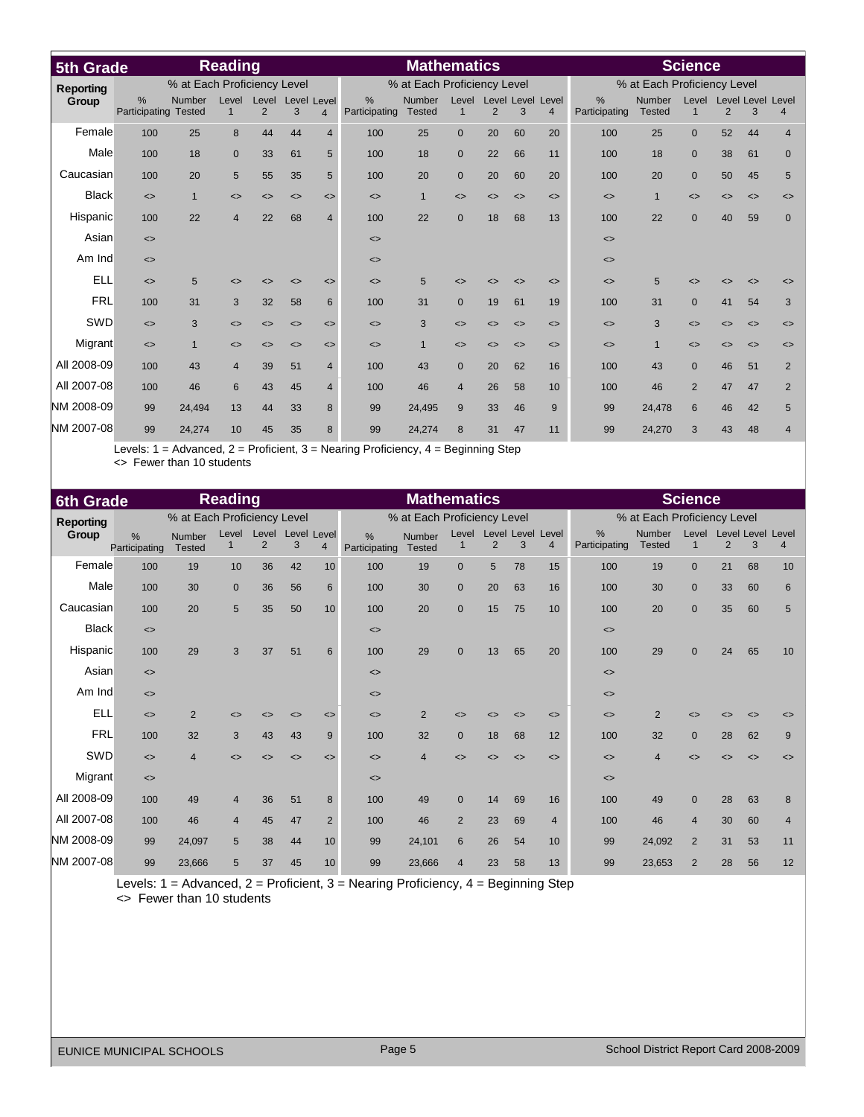| 5th Grade        |                              |                             | <b>Reading</b>               |                              |                              |                              |                                | <b>Mathematics</b>             |                              |                              |                              |                                     |                                |                             | <b>Science</b>               |                              |                              |                              |
|------------------|------------------------------|-----------------------------|------------------------------|------------------------------|------------------------------|------------------------------|--------------------------------|--------------------------------|------------------------------|------------------------------|------------------------------|-------------------------------------|--------------------------------|-----------------------------|------------------------------|------------------------------|------------------------------|------------------------------|
| <b>Reporting</b> |                              | % at Each Proficiency Level |                              |                              |                              |                              |                                | % at Each Proficiency Level    |                              |                              |                              |                                     |                                | % at Each Proficiency Level |                              |                              |                              |                              |
| Group            | $\%$<br>Participating Tested | Number                      | Level<br>$\mathbf{1}$        | Level<br>2                   | Level<br>3                   | Level<br>$\overline{4}$      | $\frac{9}{6}$<br>Participating | <b>Number</b><br><b>Tested</b> | Level<br>$\mathbf{1}$        | 2                            | 3                            | Level Level Level<br>$\overline{4}$ | $\frac{0}{0}$<br>Participating | Number<br><b>Tested</b>     | Level<br>$\mathbf{1}$        | 2                            | Level Level Level<br>3       | $\overline{4}$               |
| Female           | 100                          | 25                          | 8                            | 44                           | 44                           | $\overline{4}$               | 100                            | 25                             | $\Omega$                     | 20                           | 60                           | 20                                  | 100                            | 25                          | $\mathbf{0}$                 | 52                           | 44                           | $\overline{4}$               |
| Male             | 100                          | 18                          | $\mathbf 0$                  | 33                           | 61                           | 5                            | 100                            | 18                             | $\overline{0}$               | 22                           | 66                           | 11                                  | 100                            | 18                          | $\mathbf{0}$                 | 38                           | 61                           | $\mathbf{0}$                 |
| Caucasian        | 100                          | 20                          | 5                            | 55                           | 35                           | 5                            | 100                            | 20                             | $\mathbf{0}$                 | 20                           | 60                           | 20                                  | 100                            | 20                          | $\mathbf{0}$                 | 50                           | 45                           | 5                            |
| <b>Black</b>     | $\left\langle \right\rangle$ | $\mathbf{1}$                | $\left\langle \right\rangle$ | $\left\langle \right\rangle$ | $\left\langle \right\rangle$ | $\left\langle \right\rangle$ | $\left\langle \right\rangle$   | $\mathbf{1}$                   | $\leftrightarrow$            | $\left\langle \right\rangle$ | $\left\langle \right\rangle$ | $\left\langle \right\rangle$        | $\left\langle \right\rangle$   | $\mathbf{1}$                | $\left\langle \right\rangle$ | $\left\langle \right\rangle$ | $\leftrightarrow$            | $\left\langle \right\rangle$ |
| Hispanic         | 100                          | 22                          | $\overline{4}$               | 22                           | 68                           | $\overline{4}$               | 100                            | 22                             | $\mathbf{0}$                 | 18                           | 68                           | 13                                  | 100                            | 22                          | $\mathbf{0}$                 | 40                           | 59                           | $\overline{0}$               |
| Asian            | $\left\langle \right\rangle$ |                             |                              |                              |                              |                              | $\left\langle \right\rangle$   |                                |                              |                              |                              |                                     | $\left\langle \right\rangle$   |                             |                              |                              |                              |                              |
| Am Ind           | $\leq$                       |                             |                              |                              |                              |                              | $\left\langle \right\rangle$   |                                |                              |                              |                              |                                     | $\left\langle \right\rangle$   |                             |                              |                              |                              |                              |
| <b>ELL</b>       | $\leq$                       | 5                           | ◇                            | <>                           | <>                           | $\left\langle \right\rangle$ | $\left\langle \right\rangle$   | 5                              | ◇                            | <>                           | <>                           | $\left\langle \right\rangle$        | $\leq$                         | 5                           | <>                           | <>                           | $\left\langle \right\rangle$ | $\leq$                       |
| <b>FRL</b>       | 100                          | 31                          | 3                            | 32                           | 58                           | 6                            | 100                            | 31                             | $\mathbf{0}$                 | 19                           | 61                           | 19                                  | 100                            | 31                          | $\mathbf{0}$                 | 41                           | 54                           | 3                            |
| SWD              | $\left\langle \right\rangle$ | 3                           | $\left\langle \right\rangle$ | $\left\langle \right\rangle$ | $\left\langle \right\rangle$ | $\left\langle \right\rangle$ | $\left\langle \right\rangle$   | 3                              | $\leftrightarrow$            | $\left\langle \right\rangle$ | $\left\langle \right\rangle$ | $\left\langle \right\rangle$        | $\left\langle \right\rangle$   | 3                           | $\left\langle \right\rangle$ | $\leftrightarrow$            | $\leftrightarrow$            | $\leftrightarrow$            |
| Migrant          | $\left\langle \right\rangle$ | $\mathbf{1}$                | $\leftrightarrow$            | <>                           | $\left\langle \right\rangle$ | $\left\langle \right\rangle$ | $\left\langle \right\rangle$   | $\mathbf{1}$                   | $\left\langle \right\rangle$ | <>                           | <>                           | $\left\langle \right\rangle$        | $\left\langle \right\rangle$   | $\mathbf{1}$                | $\left\langle \right\rangle$ | $\leftrightarrow$            | $\leftrightarrow$            | $\left\langle \right\rangle$ |
| All 2008-09      | 100                          | 43                          | $\overline{4}$               | 39                           | 51                           | $\overline{4}$               | 100                            | 43                             | $\Omega$                     | 20                           | 62                           | 16                                  | 100                            | 43                          | $\mathbf{0}$                 | 46                           | 51                           | $\overline{2}$               |
| All 2007-08      | 100                          | 46                          | 6                            | 43                           | 45                           | $\overline{4}$               | 100                            | 46                             | $\overline{4}$               | 26                           | 58                           | 10                                  | 100                            | 46                          | $\overline{2}$               | 47                           | 47                           | $\overline{2}$               |
| NM 2008-09       | 99                           | 24.494                      | 13                           | 44                           | 33                           | 8                            | 99                             | 24,495                         | 9                            | 33                           | 46                           | 9                                   | 99                             | 24,478                      | 6                            | 46                           | 42                           | 5                            |
| NM 2007-08       | 99                           | 24,274                      | 10                           | 45                           | 35                           | 8                            | 99                             | 24,274                         | 8                            | 31                           | 47                           | 11                                  | 99                             | 24,270                      | 3                            | 43                           | 48                           | $\overline{4}$               |

Levels: 1 = Advanced, 2 = Proficient, 3 = Nearing Proficiency, 4 = Beginning Step <> Fewer than 10 students

| <b>6th Grade</b> |                              |                             | <b>Reading</b>        |                         |                              |                              |                              | <b>Mathematics</b>          |                   |                              |                   |                              |                              |                             | <b>Science</b>        |                   |                               |                              |
|------------------|------------------------------|-----------------------------|-----------------------|-------------------------|------------------------------|------------------------------|------------------------------|-----------------------------|-------------------|------------------------------|-------------------|------------------------------|------------------------------|-----------------------------|-----------------------|-------------------|-------------------------------|------------------------------|
| <b>Reporting</b> |                              | % at Each Proficiency Level |                       |                         |                              |                              |                              | % at Each Proficiency Level |                   |                              |                   |                              |                              | % at Each Proficiency Level |                       |                   |                               |                              |
| Group            | %<br>Participating           | Number<br><b>Tested</b>     | Level<br>$\mathbf{1}$ | Level<br>$\overline{2}$ | Level Level<br>3             | $\overline{4}$               | %<br>Participating           | Number<br><b>Tested</b>     | $\mathbf{1}$      | Level Level Level Level<br>2 | 3                 | $\overline{4}$               | %<br>Participating           | Number<br><b>Tested</b>     | Level<br>$\mathbf{1}$ | 2                 | <b>Level Level Level</b><br>3 | $\overline{4}$               |
| Female           | 100                          | 19                          | 10                    | 36                      | 42                           | 10                           | 100                          | 19                          | $\Omega$          | 5                            | 78                | 15                           | 100                          | 19                          | $\mathbf{0}$          | 21                | 68                            | 10                           |
| Male             | 100                          | 30                          | $\mathbf 0$           | 36                      | 56                           | 6                            | 100                          | 30                          | $\mathbf{0}$      | 20                           | 63                | 16                           | 100                          | 30                          | $\mathbf{0}$          | 33                | 60                            | $6\phantom{1}$               |
| Caucasian        | 100                          | 20                          | $5\phantom{.0}$       | 35                      | 50                           | 10 <sup>10</sup>             | 100                          | 20                          | $\mathbf{0}$      | 15                           | 75                | 10                           | 100                          | 20                          | $\mathbf{0}$          | 35                | 60                            | 5                            |
| <b>Black</b>     | $\left\langle \right\rangle$ |                             |                       |                         |                              |                              | $\left\langle \right\rangle$ |                             |                   |                              |                   |                              | $\left\langle \right\rangle$ |                             |                       |                   |                               |                              |
| <b>Hispanic</b>  | 100                          | 29                          | 3                     | 37                      | 51                           | 6                            | 100                          | 29                          | $\mathbf{0}$      | 13                           | 65                | 20                           | 100                          | 29                          | $\mathbf{0}$          | 24                | 65                            | 10                           |
| Asian            | $\left\langle \right\rangle$ |                             |                       |                         |                              |                              | $\left\langle \right\rangle$ |                             |                   |                              |                   |                              | $\left\langle \right\rangle$ |                             |                       |                   |                               |                              |
| Am Ind           | $\leftrightarrow$            |                             |                       |                         |                              |                              | $\leftrightarrow$            |                             |                   |                              |                   |                              | $\left\langle \right\rangle$ |                             |                       |                   |                               |                              |
| <b>ELL</b>       | $\leftrightarrow$            | 2                           | $\leftrightarrow$     | <>                      | $\left\langle \right\rangle$ | $\left\langle \right\rangle$ | $\leftrightarrow$            | $\overline{2}$              | ◇                 | <>                           | $\leftrightarrow$ | $\leftrightarrow$            | $\left\langle \right\rangle$ | 2                           | <>                    | <>                | $\leftrightarrow$             | <>                           |
| <b>FRL</b>       | 100                          | 32                          | 3                     | 43                      | 43                           | 9                            | 100                          | 32                          | $\mathbf{0}$      | 18                           | 68                | 12                           | 100                          | 32                          | $\mathbf{0}$          | 28                | 62                            | 9                            |
| SWD              | $\left\langle \right\rangle$ | $\overline{4}$              | $\leftrightarrow$     | <>                      | $\left\langle \right\rangle$ | $\leftrightarrow$            | $\leftrightarrow$            | $\overline{4}$              | $\leftrightarrow$ | <>                           | $\leftrightarrow$ | $\left\langle \right\rangle$ | $\left\langle \right\rangle$ | $\overline{4}$              | $\leftrightarrow$     | $\leftrightarrow$ | $\left\langle \right\rangle$  | $\left\langle \right\rangle$ |
| Migrant          | $\left\langle \right\rangle$ |                             |                       |                         |                              |                              | $\left\langle \right\rangle$ |                             |                   |                              |                   |                              | $\left\langle \right\rangle$ |                             |                       |                   |                               |                              |
| All 2008-09      | 100                          | 49                          | $\overline{4}$        | 36                      | 51                           | 8                            | 100                          | 49                          | $\mathbf{0}$      | 14                           | 69                | 16                           | 100                          | 49                          | $\mathbf{0}$          | 28                | 63                            | 8                            |
| All 2007-08      | 100                          | 46                          | $\overline{4}$        | 45                      | 47                           | $\overline{2}$               | 100                          | 46                          | $\overline{2}$    | 23                           | 69                | $\overline{4}$               | 100                          | 46                          | $\overline{4}$        | 30                | 60                            | $\overline{4}$               |
| NM 2008-09       | 99                           | 24.097                      | 5                     | 38                      | 44                           | 10                           | 99                           | 24,101                      | 6                 | 26                           | 54                | 10                           | 99                           | 24,092                      | 2                     | 31                | 53                            | 11                           |
| NM 2007-08       | 99                           | 23.666                      | 5                     | 37                      | 45                           | 10 <sup>°</sup>              | 99                           | 23,666                      | $\overline{4}$    | 23                           | 58                | 13                           | 99                           | 23,653                      | $\overline{2}$        | 28                | 56                            | 12                           |

Levels: 1 = Advanced, 2 = Proficient, 3 = Nearing Proficiency, 4 = Beginning Step <> Fewer than 10 students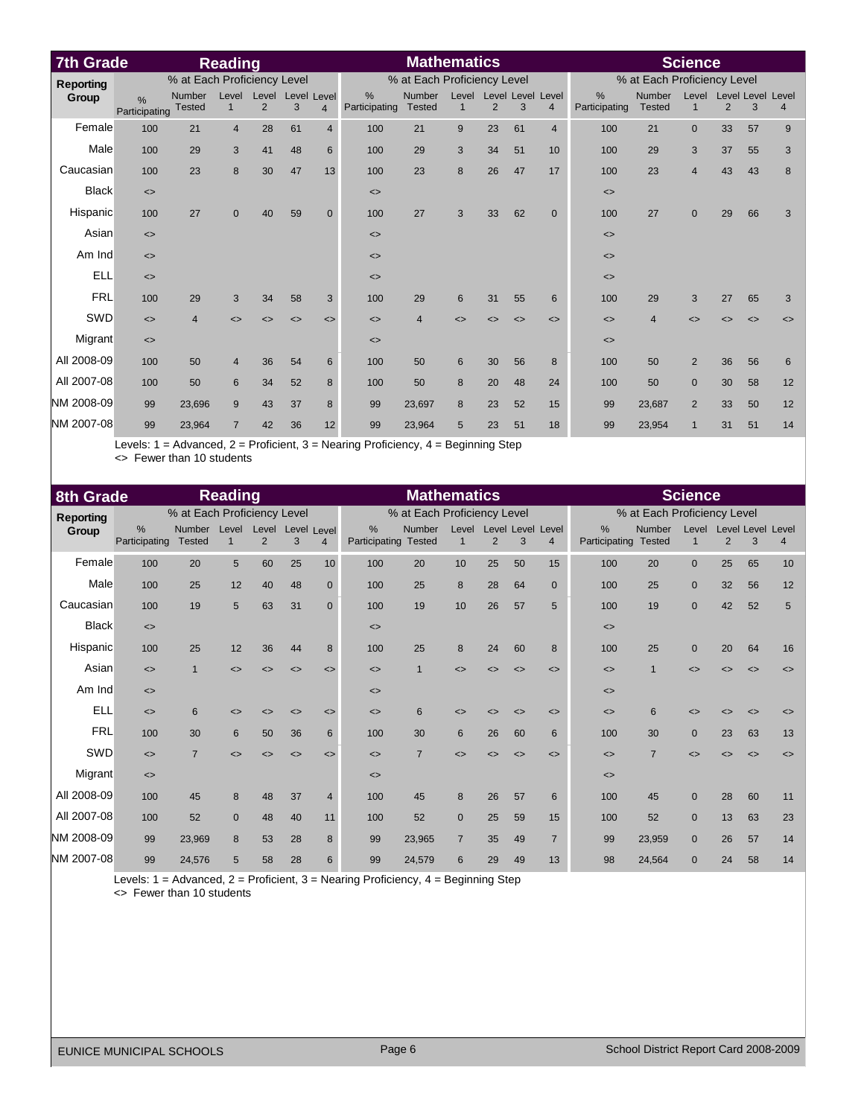| <b>7th Grade</b> |                              |                             | <b>Reading</b>        |                              |                              |                              |                              | <b>Mathematics</b>          |                       |                              |                              |                              |                              |                             | <b>Science</b>               |                              |                              |                   |
|------------------|------------------------------|-----------------------------|-----------------------|------------------------------|------------------------------|------------------------------|------------------------------|-----------------------------|-----------------------|------------------------------|------------------------------|------------------------------|------------------------------|-----------------------------|------------------------------|------------------------------|------------------------------|-------------------|
| <b>Reporting</b> |                              | % at Each Proficiency Level |                       |                              |                              |                              |                              | % at Each Proficiency Level |                       |                              |                              |                              |                              | % at Each Proficiency Level |                              |                              |                              |                   |
| Group            | $\%$<br>Participating        | Number<br><b>Tested</b>     | Level<br>$\mathbf{1}$ | Level<br>$\overline{2}$      | Level Level<br>3             | $\overline{4}$               | $\%$<br>Participating        | Number<br><b>Tested</b>     | Level<br>$\mathbf{1}$ | $\overline{2}$               | 3                            | Level Level Level<br>4       | $\%$<br>Participating        | Number<br><b>Tested</b>     | Level<br>$\mathbf{1}$        | $\overline{2}$               | Level Level Level<br>3       | $\overline{4}$    |
| Female           | 100                          | 21                          | $\overline{4}$        | 28                           | 61                           | $\overline{4}$               | 100                          | 21                          | 9                     | 23                           | 61                           | $\overline{4}$               | 100                          | 21                          | $\mathbf{0}$                 | 33                           | 57                           | 9                 |
| Male             | 100                          | 29                          | 3                     | 41                           | 48                           | 6                            | 100                          | 29                          | 3                     | 34                           | 51                           | 10                           | 100                          | 29                          | 3                            | 37                           | 55                           | 3                 |
| Caucasian        | 100                          | 23                          | 8                     | 30                           | 47                           | 13                           | 100                          | 23                          | 8                     | 26                           | 47                           | 17                           | 100                          | 23                          | $\overline{4}$               | 43                           | 43                           | 8                 |
| <b>Black</b>     | $\left\langle \right\rangle$ |                             |                       |                              |                              |                              | $\left\langle \right\rangle$ |                             |                       |                              |                              |                              | $\leftrightarrow$            |                             |                              |                              |                              |                   |
| Hispanic         | 100                          | 27                          | $\mathbf 0$           | 40                           | 59                           | $\Omega$                     | 100                          | 27                          | 3                     | 33                           | 62                           | $\mathbf{0}$                 | 100                          | 27                          | $\mathbf 0$                  | 29                           | 66                           | 3                 |
| Asian            | $\left\langle \right\rangle$ |                             |                       |                              |                              |                              | $\left\langle \right\rangle$ |                             |                       |                              |                              |                              | $\leftrightarrow$            |                             |                              |                              |                              |                   |
| Am Ind           | $\leq$                       |                             |                       |                              |                              |                              | $\left\langle \right\rangle$ |                             |                       |                              |                              |                              | $\leftrightarrow$            |                             |                              |                              |                              |                   |
| <b>ELL</b>       | $\left\langle \right\rangle$ |                             |                       |                              |                              |                              | $\left\langle \right\rangle$ |                             |                       |                              |                              |                              | $\leftrightarrow$            |                             |                              |                              |                              |                   |
| <b>FRL</b>       | 100                          | 29                          | 3                     | 34                           | 58                           | 3                            | 100                          | 29                          | 6                     | 31                           | 55                           | 6                            | 100                          | 29                          | 3                            | 27                           | 65                           | 3                 |
| SWD              | $\left\langle \right\rangle$ | $\overline{4}$              | $\leftrightarrow$     | $\left\langle \right\rangle$ | $\left\langle \right\rangle$ | $\left\langle \right\rangle$ | $\left\langle \right\rangle$ | $\overline{4}$              | $\leftrightarrow$     | $\left\langle \right\rangle$ | $\left\langle \right\rangle$ | $\left\langle \right\rangle$ | $\left\langle \right\rangle$ | 4                           | $\left\langle \right\rangle$ | $\left\langle \right\rangle$ | $\left\langle \right\rangle$ | $\leftrightarrow$ |
| Migrant          | $\left\langle \right\rangle$ |                             |                       |                              |                              |                              | $\left\langle \right\rangle$ |                             |                       |                              |                              |                              | $\leftrightarrow$            |                             |                              |                              |                              |                   |
| All 2008-09      | 100                          | 50                          | $\overline{4}$        | 36                           | 54                           | 6                            | 100                          | 50                          | 6                     | 30                           | 56                           | 8                            | 100                          | 50                          | 2                            | 36                           | 56                           | 6                 |
| All 2007-08      | 100                          | 50                          | $6\phantom{1}$        | 34                           | 52                           | 8                            | 100                          | 50                          | 8                     | 20                           | 48                           | 24                           | 100                          | 50                          | $\mathbf{0}$                 | 30                           | 58                           | 12                |
| NM 2008-09       | 99                           | 23,696                      | 9                     | 43                           | 37                           | 8                            | 99                           | 23,697                      | 8                     | 23                           | 52                           | 15                           | 99                           | 23,687                      | 2                            | 33                           | 50                           | 12                |
| NM 2007-08       | 99                           | 23,964                      | $\overline{7}$        | 42                           | 36                           | 12                           | 99                           | 23,964                      | 5                     | 23                           | 51                           | 18                           | 99                           | 23,954                      | $\mathbf{1}$                 | 31                           | 51                           | 14                |

Levels: 1 = Advanced, 2 = Proficient, 3 = Nearing Proficiency, 4 = Beginning Step <> Fewer than 10 students

| 8th Grade        |                              |                             | <b>Reading</b>        |            |                              |                   |                              | <b>Mathematics</b>          |                       |        |                              |                                     |                              |                             | <b>Science</b>       |        |                               |                              |
|------------------|------------------------------|-----------------------------|-----------------------|------------|------------------------------|-------------------|------------------------------|-----------------------------|-----------------------|--------|------------------------------|-------------------------------------|------------------------------|-----------------------------|----------------------|--------|-------------------------------|------------------------------|
| <b>Reporting</b> |                              | % at Each Proficiency Level |                       |            |                              |                   |                              | % at Each Proficiency Level |                       |        |                              |                                     |                              | % at Each Proficiency Level |                      |        |                               |                              |
| Group            | %<br>Participating           | Number<br><b>Tested</b>     | Level<br>$\mathbf{1}$ | Level<br>2 | Level Level<br>3             | $\overline{4}$    | %<br>Participating           | Number<br><b>Tested</b>     | Level<br>$\mathbf{1}$ | 2      | 3                            | Level Level Level<br>$\overline{4}$ | %<br>Participating           | Number<br><b>Tested</b>     | Level<br>$\mathbf 1$ | 2      | <b>Level Level Level</b><br>3 | $\overline{4}$               |
| Female           | 100                          | 20                          | 5                     | 60         | 25                           | 10 <sup>1</sup>   | 100                          | 20                          | 10                    | 25     | 50                           | 15                                  | 100                          | 20                          | $\mathbf{0}$         | 25     | 65                            | 10                           |
| Male             | 100                          | 25                          | 12                    | 40         | 48                           | $\mathbf{0}$      | 100                          | 25                          | 8                     | 28     | 64                           | $\mathbf{0}$                        | 100                          | 25                          | $\mathbf{0}$         | 32     | 56                            | 12                           |
| Caucasian        | 100                          | 19                          | 5                     | 63         | 31                           | $\Omega$          | 100                          | 19                          | 10                    | 26     | 57                           | 5                                   | 100                          | 19                          | $\mathbf{0}$         | 42     | 52                            | 5                            |
| <b>Black</b>     | $\left\langle \right\rangle$ |                             |                       |            |                              |                   | $\left\langle \right\rangle$ |                             |                       |        |                              |                                     | $\left\langle \right\rangle$ |                             |                      |        |                               |                              |
| Hispanic         | 100                          | 25                          | 12                    | 36         | 44                           | 8                 | 100                          | 25                          | 8                     | 24     | 60                           | 8                                   | 100                          | 25                          | $\mathbf{0}$         | 20     | 64                            | 16                           |
| Asian            | $\leftrightarrow$            | $\mathbf{1}$                | $\leftrightarrow$     | <>         | $\left\langle \right\rangle$ | $\leq$            | $\leftrightarrow$            | $\overline{1}$              | $\leftrightarrow$     | $\leq$ | $\leftrightarrow$            | $\leftrightarrow$                   | $\leftrightarrow$            | 1                           | $\leftrightarrow$    | $\leq$ | $\leftrightarrow$             | $\left\langle \right\rangle$ |
| Am Ind           | $\leftrightarrow$            |                             |                       |            |                              |                   | $\leftrightarrow$            |                             |                       |        |                              |                                     | $\left\langle \right\rangle$ |                             |                      |        |                               |                              |
| <b>ELL</b>       | $\leftrightarrow$            | 6                           | ◇                     | <>         | $\left\langle \right\rangle$ | $\leftrightarrow$ | $\leftrightarrow$            | 6                           | ◇                     | <>     | $\leftrightarrow$            | $\leftrightarrow$                   | $\leftrightarrow$            | 6                           | <>                   | <>     | $\leftrightarrow$             | <>                           |
| <b>FRL</b>       | 100                          | 30                          | 6                     | 50         | 36                           | 6                 | 100                          | 30                          | 6                     | 26     | 60                           | 6                                   | 100                          | 30                          | $\mathbf{0}$         | 23     | 63                            | 13                           |
| SWD              | $\leftrightarrow$            | $\overline{7}$              | $\leftrightarrow$     | <>         | $\leftrightarrow$            | $\leftrightarrow$ | $\leftrightarrow$            | $\overline{7}$              | $\leftrightarrow$     | <>     | $\left\langle \right\rangle$ | $\leftrightarrow$                   | $\leftrightarrow$            | $\overline{7}$              | $\leftrightarrow$    | <>     | $\leftrightarrow$             | $\leftrightarrow$            |
| <b>Migrant</b>   | $\leftrightarrow$            |                             |                       |            |                              |                   | $\left\langle \right\rangle$ |                             |                       |        |                              |                                     | $\left\langle \right\rangle$ |                             |                      |        |                               |                              |
| All 2008-09      | 100                          | 45                          | 8                     | 48         | 37                           | $\overline{4}$    | 100                          | 45                          | 8                     | 26     | 57                           | 6                                   | 100                          | 45                          | $\mathbf{0}$         | 28     | 60                            | 11                           |
| All 2007-08      | 100                          | 52                          | $\mathbf{0}$          | 48         | 40                           | 11                | 100                          | 52                          | $\mathbf{0}$          | 25     | 59                           | 15                                  | 100                          | 52                          | $\mathbf 0$          | 13     | 63                            | 23                           |
| NM 2008-09       | 99                           | 23,969                      | 8                     | 53         | 28                           | 8                 | 99                           | 23,965                      | $\overline{7}$        | 35     | 49                           | $\overline{7}$                      | 99                           | 23,959                      | $\mathbf{0}$         | 26     | 57                            | 14                           |
| NM 2007-08       | 99                           | 24,576                      | 5                     | 58         | 28                           | 6                 | 99                           | 24,579                      | 6                     | 29     | 49                           | 13                                  | 98                           | 24,564                      | $\mathbf{0}$         | 24     | 58                            | 14                           |

Levels: 1 = Advanced, 2 = Proficient, 3 = Nearing Proficiency, 4 = Beginning Step

<> Fewer than 10 students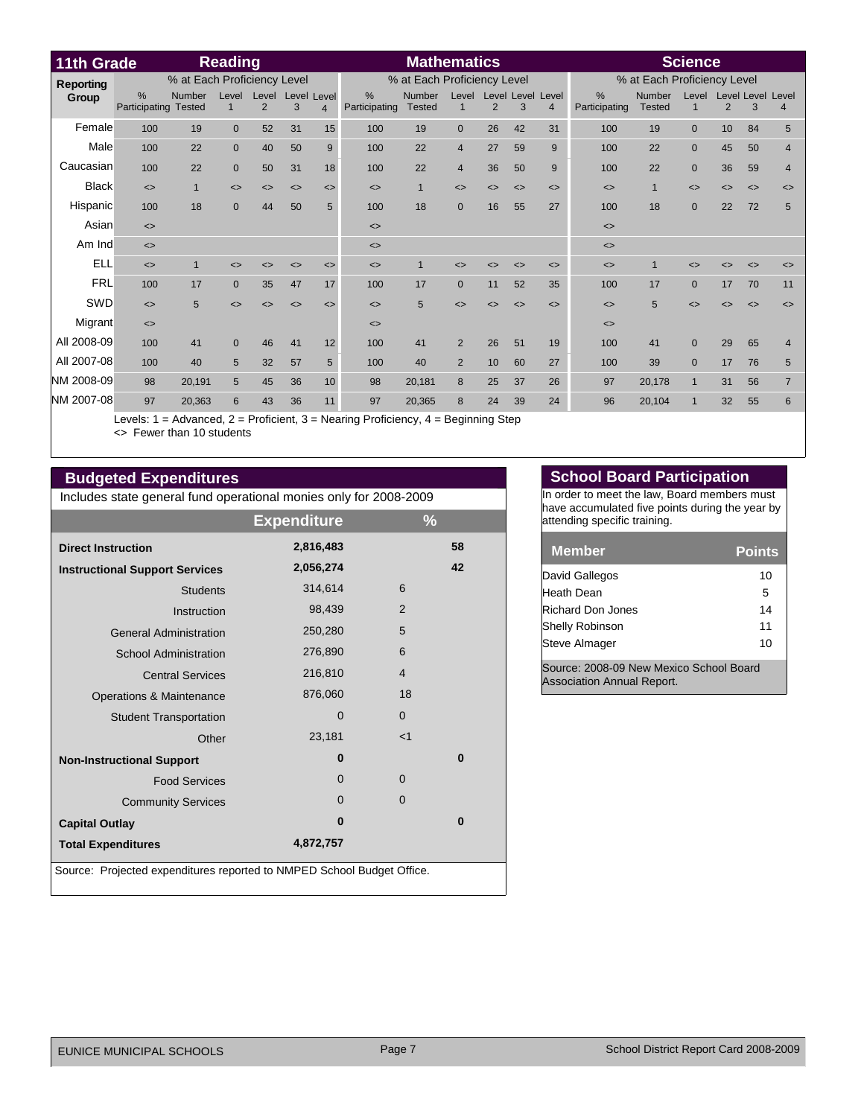| 11th Grade       |                             |                                | <b>Reading</b>    |            |                              |                              |                              | <b>Mathematics</b>             |                             |    |                              |                                     |                              |                         | <b>Science</b>               |                   |                              |                              |
|------------------|-----------------------------|--------------------------------|-------------------|------------|------------------------------|------------------------------|------------------------------|--------------------------------|-----------------------------|----|------------------------------|-------------------------------------|------------------------------|-------------------------|------------------------------|-------------------|------------------------------|------------------------------|
| <b>Reporting</b> | % at Each Proficiency Level |                                |                   |            | % at Each Proficiency Level  |                              |                              |                                | % at Each Proficiency Level |    |                              |                                     |                              |                         |                              |                   |                              |                              |
| Group            | %<br>Participating          | <b>Number</b><br><b>Tested</b> | Level             | Level<br>2 | Level<br>3                   | Level<br>$\overline{4}$      | $\%$<br>Participating        | <b>Number</b><br><b>Tested</b> | Level                       | 2  | 3                            | Level Level Level<br>$\overline{4}$ | $\%$<br>Participating        | Number<br><b>Tested</b> | Level<br>$\mathbf{1}$        | $\overline{2}$    | 3                            | Level Level Level<br>4       |
| Female           | 100                         | 19                             | $\mathbf{0}$      | 52         | 31                           | 15                           | 100                          | 19                             | $\Omega$                    | 26 | 42                           | 31                                  | 100                          | 19                      | $\overline{0}$               | 10                | 84                           | 5                            |
| Male             | 100                         | 22                             | $\mathbf{0}$      | 40         | 50                           | 9                            | 100                          | 22                             | $\overline{4}$              | 27 | 59                           | 9                                   | 100                          | 22                      | $\mathbf 0$                  | 45                | 50                           | $\overline{4}$               |
| Caucasian        | 100                         | 22                             | $\mathbf{0}$      | 50         | 31                           | 18                           | 100                          | 22                             | $\overline{4}$              | 36 | 50                           | 9                                   | 100                          | 22                      | $\mathbf{0}$                 | 36                | 59                           | $\overline{4}$               |
| <b>Black</b>     | $\leftrightarrow$           | $\mathbf{1}$                   | $\leftrightarrow$ | <>         | $\left\langle \right\rangle$ | $\left\langle \right\rangle$ | $\left\langle \right\rangle$ |                                | $\leftrightarrow$           | <> | $\left\langle \right\rangle$ | $\left\langle \right\rangle$        | $\left\langle \right\rangle$ | $\mathbf{1}$            | $\left\langle \right\rangle$ | $\leftrightarrow$ | $\left\langle \right\rangle$ | $\left\langle \right\rangle$ |
| Hispanic         | 100                         | 18                             | $\mathbf{0}$      | 44         | 50                           | 5                            | 100                          | 18                             | $\Omega$                    | 16 | 55                           | 27                                  | 100                          | 18                      | $\overline{0}$               | 22                | 72                           | 5                            |
| Asian            | $\leftrightarrow$           |                                |                   |            |                              |                              | $\left\langle \right\rangle$ |                                |                             |    |                              |                                     | $\left\langle \right\rangle$ |                         |                              |                   |                              |                              |
| Am Ind           | $\leftrightarrow$           |                                |                   |            |                              |                              | $\left\langle \right\rangle$ |                                |                             |    |                              |                                     | $\leq$                       |                         |                              |                   |                              |                              |
| <b>ELL</b>       | $\leftrightarrow$           | $\overline{1}$                 | ◇                 | C)         | <>                           | $\left\langle \right\rangle$ | $\leftrightarrow$            |                                | ◇                           |    | $\left\langle \right\rangle$ | $\left\langle \right\rangle$        | $\left\langle \right\rangle$ |                         |                              | <>                | ◇                            | <>                           |
| <b>FRL</b>       | 100                         | 17                             | $\Omega$          | 35         | 47                           | 17                           | 100                          | 17                             | $\Omega$                    | 11 | 52                           | 35                                  | 100                          | 17                      | $\Omega$                     | 17                | 70                           | 11                           |
| SWD              | $\leq$                      | 5                              | $\leftrightarrow$ | <>         | $\leftrightarrow$            | $\leftrightarrow$            | $\left\langle \right\rangle$ | 5                              | $\leftrightarrow$           | <> | $\leftrightarrow$            | $\leftrightarrow$                   | $\leftrightarrow$            | 5                       | $\leftrightarrow$            | $\leftrightarrow$ | $\leftrightarrow$            | $\leftrightarrow$            |
| Migrant          | $\leftrightarrow$           |                                |                   |            |                              |                              | $\left\langle \right\rangle$ |                                |                             |    |                              |                                     | $\leq$                       |                         |                              |                   |                              |                              |
| All 2008-09      | 100                         | 41                             | $\Omega$          | 46         | 41                           | 12                           | 100                          | 41                             | 2                           | 26 | 51                           | 19                                  | 100                          | 41                      | $\Omega$                     | 29                | 65                           | $\overline{4}$               |
| All 2007-08      | 100                         | 40                             | 5                 | 32         | 57                           | 5                            | 100                          | 40                             | 2                           | 10 | 60                           | 27                                  | 100                          | 39                      | $\Omega$                     | 17                | 76                           | 5                            |
| NM 2008-09       | 98                          | 20,191                         | 5                 | 45         | 36                           | 10                           | 98                           | 20,181                         | 8                           | 25 | 37                           | 26                                  | 97                           | 20,178                  | $\mathbf{1}$                 | 31                | 56                           | $\overline{7}$               |
| NM 2007-08       | 97                          | 20,363                         | 6                 | 43         | 36                           | 11                           | 97                           | 20,365                         | 8                           | 24 | 39                           | 24                                  | 96                           | 20,104                  | $\mathbf{1}$                 | 32                | 55                           | 6                            |

Levels: 1 = Advanced, 2 = Proficient, 3 = Nearing Proficiency, 4 = Beginning Step <> Fewer than 10 students

## **Budgeted Expenditures**

Includes state general fund operational monies only for 2008-2009

|                                                                        | <b>Expenditure</b> | $\frac{9}{6}$  |  |  |  |  |  |  |  |
|------------------------------------------------------------------------|--------------------|----------------|--|--|--|--|--|--|--|
| <b>Direct Instruction</b>                                              | 2,816,483          | 58             |  |  |  |  |  |  |  |
| <b>Instructional Support Services</b>                                  | 2,056,274          | 42             |  |  |  |  |  |  |  |
| <b>Students</b>                                                        | 314,614            | 6              |  |  |  |  |  |  |  |
| Instruction                                                            | 98,439             | 2              |  |  |  |  |  |  |  |
| <b>General Administration</b>                                          | 250,280            | 5              |  |  |  |  |  |  |  |
| <b>School Administration</b>                                           | 276,890            | 6              |  |  |  |  |  |  |  |
| <b>Central Services</b>                                                | 216,810            | $\overline{4}$ |  |  |  |  |  |  |  |
| Operations & Maintenance                                               | 876,060            | 18             |  |  |  |  |  |  |  |
| <b>Student Transportation</b>                                          | $\mathbf 0$        | $\overline{0}$ |  |  |  |  |  |  |  |
| Other                                                                  | 23,181             | $<$ 1          |  |  |  |  |  |  |  |
| <b>Non-Instructional Support</b>                                       | $\bf{0}$           | $\bf{0}$       |  |  |  |  |  |  |  |
| <b>Food Services</b>                                                   | 0                  | $\mathbf 0$    |  |  |  |  |  |  |  |
| <b>Community Services</b>                                              | $\Omega$           | $\overline{0}$ |  |  |  |  |  |  |  |
| <b>Capital Outlay</b>                                                  | $\bf{0}$           | $\bf{0}$       |  |  |  |  |  |  |  |
| <b>Total Expenditures</b>                                              | 4,872,757          |                |  |  |  |  |  |  |  |
| Source: Projected expenditures reported to NMPED School Budget Office. |                    |                |  |  |  |  |  |  |  |

## **School Board Participation**

In order to meet the law, Board members must have accumulated five points during the year by attending specific training.

| <b>Member</b>          | <b>Points</b> |
|------------------------|---------------|
| David Gallegos         | 10            |
| Heath Dean             | 5             |
| Richard Don Jones      | 14            |
| <b>Shelly Robinson</b> | 11            |
| <b>Steve Almager</b>   | 10            |
|                        |               |

Source: 2008-09 New Mexico School Board Association Annual Report.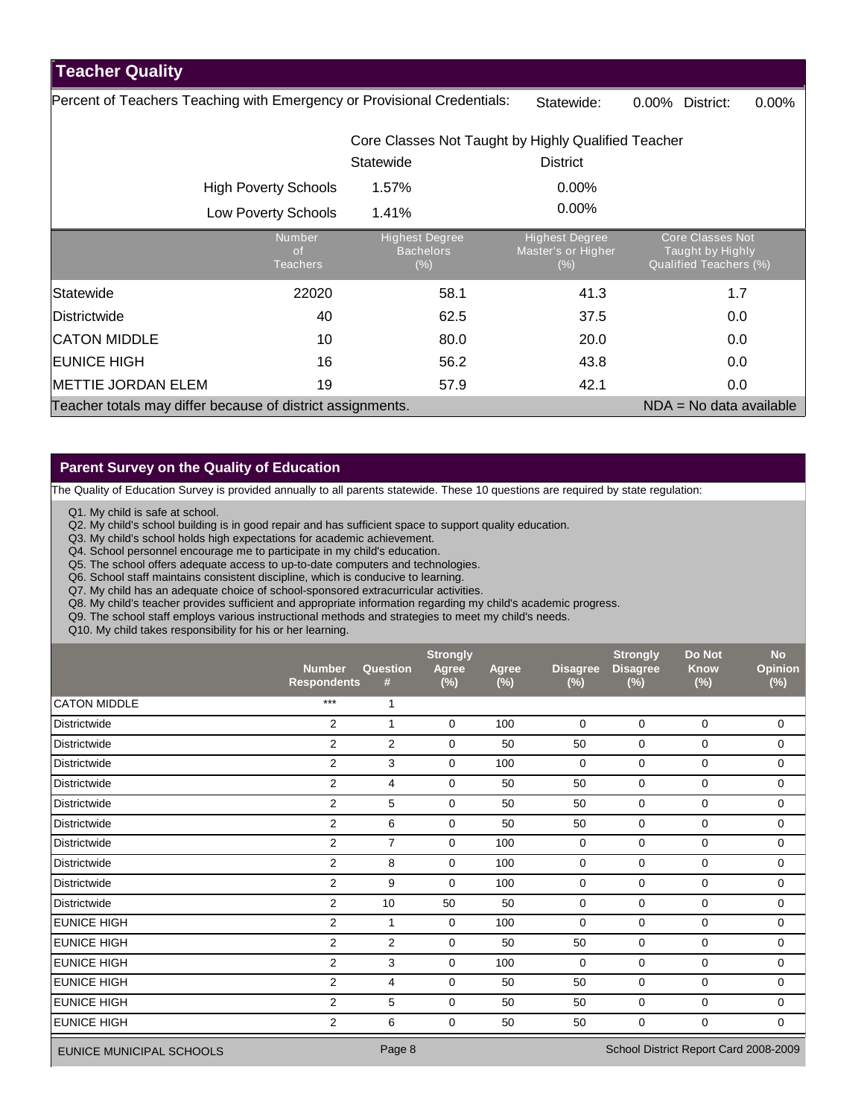## **Teacher Quality**

Percent of Teachers Teaching with Emergency or Provisional Credentials: Statewide: 0.00% District: 0.00%

|                                                            |                                               | Core Classes Not Taught by Highly Qualified Teacher |                                                        |                                                                       |  |  |  |  |
|------------------------------------------------------------|-----------------------------------------------|-----------------------------------------------------|--------------------------------------------------------|-----------------------------------------------------------------------|--|--|--|--|
|                                                            |                                               | Statewide                                           | <b>District</b>                                        |                                                                       |  |  |  |  |
|                                                            | <b>High Poverty Schools</b>                   | 1.57%                                               | $0.00\%$                                               |                                                                       |  |  |  |  |
|                                                            | <b>Low Poverty Schools</b>                    | 1.41%                                               | $0.00\%$                                               |                                                                       |  |  |  |  |
|                                                            | <b>Number</b><br><b>of</b><br><b>Teachers</b> | <b>Highest Degree</b><br><b>Bachelors</b><br>$(\%)$ | <b>Highest Degree</b><br>Master's or Higher<br>$(\% )$ | <b>Core Classes Not</b><br>Taught by Highly<br>Qualified Teachers (%) |  |  |  |  |
| Statewide                                                  | 22020                                         | 58.1                                                | 41.3                                                   | 1.7                                                                   |  |  |  |  |
| Districtwide                                               | 40                                            | 62.5                                                | 37.5                                                   | 0.0                                                                   |  |  |  |  |
| <b>CATON MIDDLE</b>                                        | 10                                            | 80.0                                                | 20.0                                                   | 0.0                                                                   |  |  |  |  |
| <b>EUNICE HIGH</b>                                         | 16                                            | 56.2                                                | 43.8                                                   | 0.0                                                                   |  |  |  |  |
| <b>METTIE JORDAN ELEM</b>                                  | 19                                            | 57.9                                                | 42.1                                                   | 0.0                                                                   |  |  |  |  |
| Teacher totals may differ because of district assignments. |                                               |                                                     |                                                        | $NDA = No$ data available                                             |  |  |  |  |

## **Parent Survey on the Quality of Education**

The Quality of Education Survey is provided annually to all parents statewide. These 10 questions are required by state regulation:

Q1. My child is safe at school.

Q2. My child's school building is in good repair and has sufficient space to support quality education.

Q3. My child's school holds high expectations for academic achievement.

Q4. School personnel encourage me to participate in my child's education.

Q5. The school offers adequate access to up-to-date computers and technologies.

Q6. School staff maintains consistent discipline, which is conducive to learning.

Q7. My child has an adequate choice of school-sponsored extracurricular activities.

Q8. My child's teacher provides sufficient and appropriate information regarding my child's academic progress.

Q9. The school staff employs various instructional methods and strategies to meet my child's needs.

Q10. My child takes responsibility for his or her learning.

|                                 | <b>Number</b><br><b>Respondents</b>             | Question<br>#  | <b>Strongly</b><br><b>Agree</b><br>(%) | Agree<br>$(\%)$ | <b>Disagree</b><br>$(\%)$ | <b>Strongly</b><br><b>Disagree</b><br>(%) | <b>Do Not</b><br><b>Know</b><br>$(\%)$ | <b>No</b><br><b>Opinion</b><br>$(\%)$ |
|---------------------------------|-------------------------------------------------|----------------|----------------------------------------|-----------------|---------------------------|-------------------------------------------|----------------------------------------|---------------------------------------|
| <b>CATON MIDDLE</b>             | $***$                                           | 1              |                                        |                 |                           |                                           |                                        |                                       |
| Districtwide                    | 2                                               | 1              | 0                                      | 100             | 0                         | $\mathbf 0$                               | 0                                      | 0                                     |
| Districtwide                    | $\overline{2}$                                  | 2              | 0                                      | 50              | 50                        | 0                                         | 0                                      | $\mathbf 0$                           |
| <b>Districtwide</b>             | 2                                               | 3              | 0                                      | 100             | 0                         | $\mathbf 0$                               | $\mathbf 0$                            | 0                                     |
| Districtwide                    | $\overline{2}$                                  | 4              | 0                                      | 50              | 50                        | 0                                         | 0                                      | 0                                     |
| <b>Districtwide</b>             | 2                                               | 5              | 0                                      | 50              | 50                        | 0                                         | 0                                      | 0                                     |
| <b>Districtwide</b>             | 2                                               | 6              | $\mathbf 0$                            | 50              | 50                        | $\mathbf 0$                               | $\mathbf 0$                            | 0                                     |
| <b>Districtwide</b>             | 2                                               | $\overline{7}$ | 0                                      | 100             | 0                         | 0                                         | 0                                      | 0                                     |
| <b>Districtwide</b>             | 2                                               | 8              | 0                                      | 100             | $\mathbf 0$               | $\mathbf 0$                               | $\mathbf 0$                            | 0                                     |
| <b>Districtwide</b>             | 2                                               | 9              | 0                                      | 100             | 0                         | 0                                         | 0                                      | 0                                     |
| Districtwide                    | 2                                               | 10             | 50                                     | 50              | 0                         | $\mathbf 0$                               | $\Omega$                               | 0                                     |
| <b>EUNICE HIGH</b>              | $\overline{2}$                                  | 1              | 0                                      | 100             | 0                         | 0                                         | 0                                      | 0                                     |
| <b>EUNICE HIGH</b>              | 2                                               | 2              | 0                                      | 50              | 50                        | 0                                         | $\mathbf 0$                            | 0                                     |
| <b>EUNICE HIGH</b>              | 2                                               | 3              | $\mathbf 0$                            | 100             | $\mathbf 0$               | $\mathbf 0$                               | $\mathbf 0$                            | 0                                     |
| <b>EUNICE HIGH</b>              | 2                                               | 4              | 0                                      | 50              | 50                        | $\mathbf 0$                               | 0                                      | 0                                     |
| <b>EUNICE HIGH</b>              | $\overline{2}$                                  | 5              | 0                                      | 50              | 50                        | $\mathbf 0$                               | 0                                      | 0                                     |
| <b>EUNICE HIGH</b>              | $\overline{2}$                                  | 6              | $\mathbf 0$                            | 50              | 50                        | 0                                         | 0                                      | 0                                     |
| <b>EUNICE MUNICIPAL SCHOOLS</b> | Page 8<br>School District Report Card 2008-2009 |                |                                        |                 |                           |                                           |                                        |                                       |